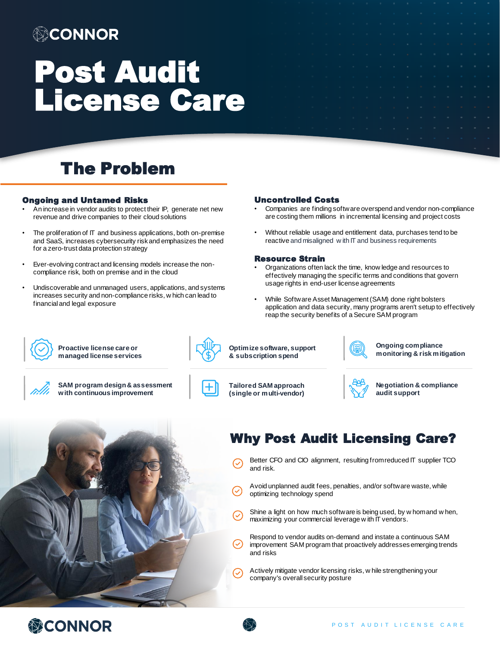### ◎CONNOR

# Post Audit License Care

### The Problem

#### Ongoing and Untamed Risks

- An increase in vendor audits to protect their IP, generate net new revenue and drive companies to their cloud solutions
- The proliferation of IT and business applications, both on-premise and SaaS, increases cybersecurity risk and emphasizes the need for a zero-trust data protection strategy
- Ever-evolving contract and licensing models increase the noncompliance risk, both on premise and in the cloud
- Undiscoverable and unmanaged users, applications, and systems increases security and non-compliance risks, w hich can lead to financial and legal exposure

#### Uncontrolled Costs

- Companies are finding software overspend and vendor non-compliance are costing them millions in incremental licensing and project costs
- Without reliable usage and entitlement data, purchases tend to be reactive and misaligned w ith IT and business requirements

#### Resource Strain

- Organizations often lack the time, know ledge and resources to effectively managing the specific terms and conditions that govern usage rights in end-user license agreements
- While Software Asset Management (SAM) done right bolsters application and data security, many programs aren't setup to effectively reap the security benefits of a Secure SAM program



**Proactive license care or managed license services**



**SAM program design & assessment with continuous improvement**



**Tailored SAM approach** 

**(single or multi-vendor)** 

**Optimize software, support & subscription spend**



**Negotiation & compliance** 

**Ongoing compliance monitoring & risk mitigation**

**audit support**



### Why Post Audit Licensing Care?

- Better CFO and CIO alignment, resulting from reduced IT supplier TCO and risk.
- Avoid unplanned audit fees, penalties, and/or software waste, while optimizing technology spend
- Shine a light on how much software is being used, by w hom and w hen, maximizing your commercial leverage w ith IT vendors.
- Respond to vendor audits on-demand and instate a continuous SAM improvement SAM program that proactively addresses emerging trends and risks
- Actively mitigate vendor licensing risks, w hile strengthening your company's overall security posture